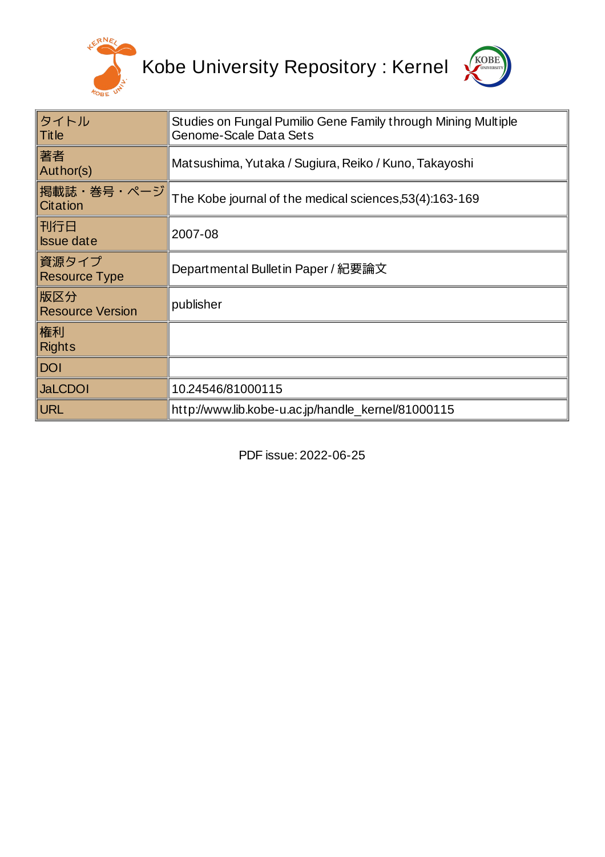



| タイトル<br><b>Title</b>           | Studies on Fungal Pumilio Gene Family through Mining Multiple<br>Genome-Scale Data Sets |
|--------------------------------|-----------------------------------------------------------------------------------------|
| 著者<br>Author(s)                | Matsushima, Yutaka / Sugiura, Reiko / Kuno, Takayoshi                                   |
| 掲載誌・巻号・ページ<br>Citation         | The Kobe journal of the medical sciences, 53(4): 163-169                                |
| 刊行日<br><b>Issue date</b>       | 2007-08                                                                                 |
| 資源タイプ<br><b>Resource Type</b>  | Departmental Bulletin Paper / 紀要論文                                                      |
| 版区分<br><b>Resource Version</b> | publisher                                                                               |
| 権利<br><b>Rights</b>            |                                                                                         |
| <b>DOI</b>                     |                                                                                         |
| <b>JaLCDOI</b>                 | 10.24546/81000115                                                                       |
| <b>URL</b>                     | http://www.lib.kobe-u.ac.jp/handle_kernel/81000115                                      |

PDF issue: 2022-06-25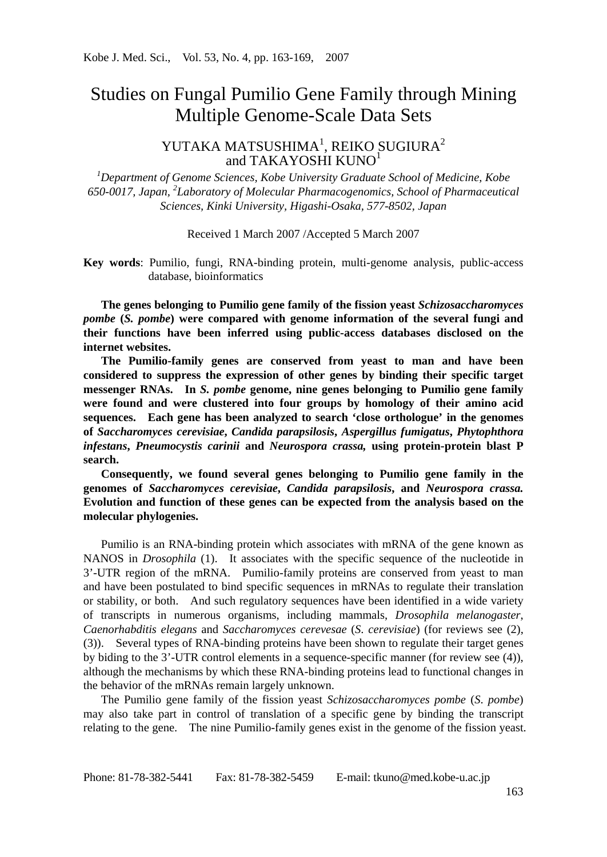# Studies on Fungal Pumilio Gene Family through Mining Multiple Genome-Scale Data Sets

# YUTAKA MATSUSHIMA<sup>1</sup>, REIKO SUGIURA<sup>2</sup> and TAKAYOSHI KUNO<sup>1</sup>

*1 Department of Genome Sciences, Kobe University Graduate School of Medicine, Kobe 650-0017, Japan, <sup>2</sup> Laboratory of Molecular Pharmacogenomics, School of Pharmaceutical Sciences, Kinki University, Higashi-Osaka, 577-8502, Japan*

Received 1 March 2007 /Accepted 5 March 2007

**Key words**: Pumilio, fungi, RNA-binding protein, multi-genome analysis, public-access database, bioinformatics

**The genes belonging to Pumilio gene family of the fission yeast** *Schizosaccharomyces pombe* **(***S. pombe***) were compared with genome information of the several fungi and their functions have been inferred using public-access databases disclosed on the internet websites.** 

**The Pumilio-family genes are conserved from yeast to man and have been considered to suppress the expression of other genes by binding their specific target messenger RNAs. In** *S. pombe* **genome, nine genes belonging to Pumilio gene family were found and were clustered into four groups by homology of their amino acid sequences. Each gene has been analyzed to search 'close orthologue' in the genomes of** *Saccharomyces cerevisiae***,** *Candida parapsilosis***,** *Aspergillus fumigatus***,** *Phytophthora infestans***,** *Pneumocystis carinii* **and** *Neurospora crassa,* **using protein-protein blast P search.** 

**Consequently, we found several genes belonging to Pumilio gene family in the genomes of** *Saccharomyces cerevisiae***,** *Candida parapsilosis***, and** *Neurospora crassa.*  **Evolution and function of these genes can be expected from the analysis based on the molecular phylogenies.** 

Pumilio is an RNA-binding protein which associates with mRNA of the gene known as NANOS in *Drosophila* (1). It associates with the specific sequence of the nucleotide in 3'-UTR region of the mRNA. Pumilio-family proteins are conserved from yeast to man and have been postulated to bind specific sequences in mRNAs to regulate their translation or stability, or both. And such regulatory sequences have been identified in a wide variety of transcripts in numerous organisms, including mammals, *Drosophila melanogaster*, *Caenorhabditis elegans* and *Saccharomyces cerevesae* (*S*. *cerevisiae*) (for reviews see (2), (3)). Several types of RNA-binding proteins have been shown to regulate their target genes by biding to the 3'-UTR control elements in a sequence-specific manner (for review see (4)), although the mechanisms by which these RNA-binding proteins lead to functional changes in the behavior of the mRNAs remain largely unknown.

The Pumilio gene family of the fission yeast *Schizosaccharomyces pombe* (*S*. *pombe*) may also take part in control of translation of a specific gene by binding the transcript relating to the gene. The nine Pumilio-family genes exist in the genome of the fission yeast.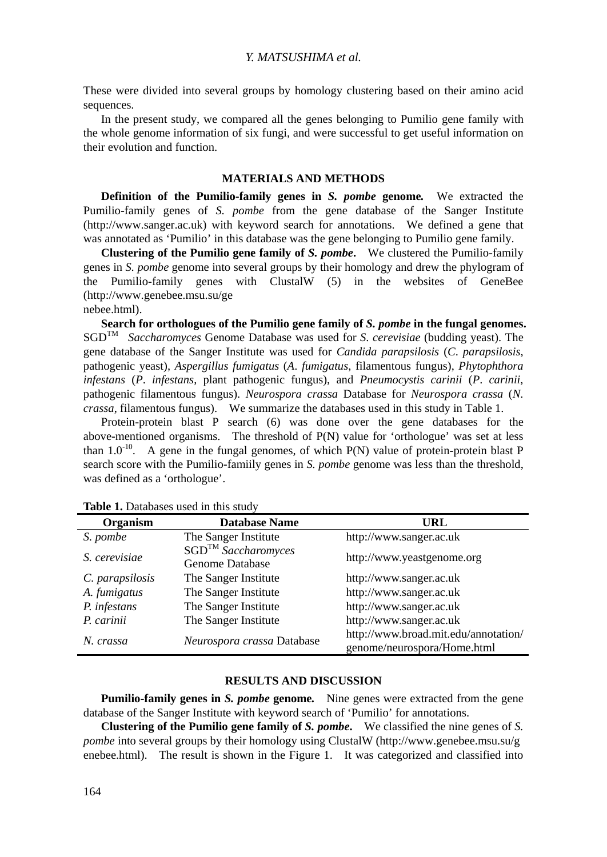## *Y. MATSUSHIMA et al.*

These were divided into several groups by homology clustering based on their amino acid sequences.

In the present study, we compared all the genes belonging to Pumilio gene family with the whole genome information of six fungi, and were successful to get useful information on their evolution and function.

## **MATERIALS AND METHODS**

**Definition of the Pumilio-family genes in** *S. pombe* **genome***.* We extracted the Pumilio-family genes of *S. pombe* from the gene database of the Sanger Institute (http://www.sanger.ac.uk) with keyword search for annotations. We defined a gene that was annotated as 'Pumilio' in this database was the gene belonging to Pumilio gene family.

**Clustering of the Pumilio gene family of** *S. pombe***.** We clustered the Pumilio-family genes in *S. pombe* genome into several groups by their homology and drew the phylogram of the Pumilio-family genes with ClustalW (5) in the websites of GeneBee (http://www.genebee.msu.su/ge

nebee.html).

**Search for orthologues of the Pumilio gene family of** *S. pombe* **in the fungal genomes.** SGDTM *Saccharomyces* Genome Database was used for *S*. *cerevisiae* (budding yeast). The gene database of the Sanger Institute was used for *Candida parapsilosis* (*C*. *parapsilosis*, pathogenic yeast), *Aspergillus fumigatus* (*A*. *fumigatus*, filamentous fungus), *Phytophthora infestans* (*P*. *infestans*, plant pathogenic fungus), and *Pneumocystis carinii* (*P*. *carinii*, pathogenic filamentous fungus). *Neurospora crassa* Database for *Neurospora crassa* (*N*. *crassa*, filamentous fungus). We summarize the databases used in this study in Table 1.

Protein-protein blast P search (6) was done over the gene databases for the above-mentioned organisms. The threshold of P(N) value for 'orthologue' was set at less than  $1.0^{-10}$ . A gene in the fungal genomes, of which P(N) value of protein-protein blast P search score with the Pumilio-famiily genes in *S. pombe* genome was less than the threshold, was defined as a 'orthologue'.

| Organism        | <b>Database Name</b>                        | URL                                                                 |
|-----------------|---------------------------------------------|---------------------------------------------------------------------|
| S. pombe        | The Sanger Institute                        | http://www.sanger.ac.uk                                             |
| S. cerevisiae   | $SGD^{TM}$ Saccharomyces<br>Genome Database | http://www.yeastgenome.org                                          |
| C. parapsilosis | The Sanger Institute                        | http://www.sanger.ac.uk                                             |
| A. fumigatus    | The Sanger Institute                        | http://www.sanger.ac.uk                                             |
| P. infestans    | The Sanger Institute                        | http://www.sanger.ac.uk                                             |
| P. carinii      | The Sanger Institute                        | http://www.sanger.ac.uk                                             |
| N. crassa       | Neurospora crassa Database                  | http://www.broad.mit.edu/annotation/<br>genome/neurospora/Home.html |

Table 1. Databases used in this study

#### **RESULTS AND DISCUSSION**

**Pumilio-family genes in** *S. pombe* **genome***.* Nine genes were extracted from the gene database of the Sanger Institute with keyword search of 'Pumilio' for annotations.

**Clustering of the Pumilio gene family of** *S. pombe***.** We classified the nine genes of *S. pombe* into several groups by their homology using ClustalW (http://www.genebee.msu.su/g enebee.html). The result is shown in the Figure 1. It was categorized and classified into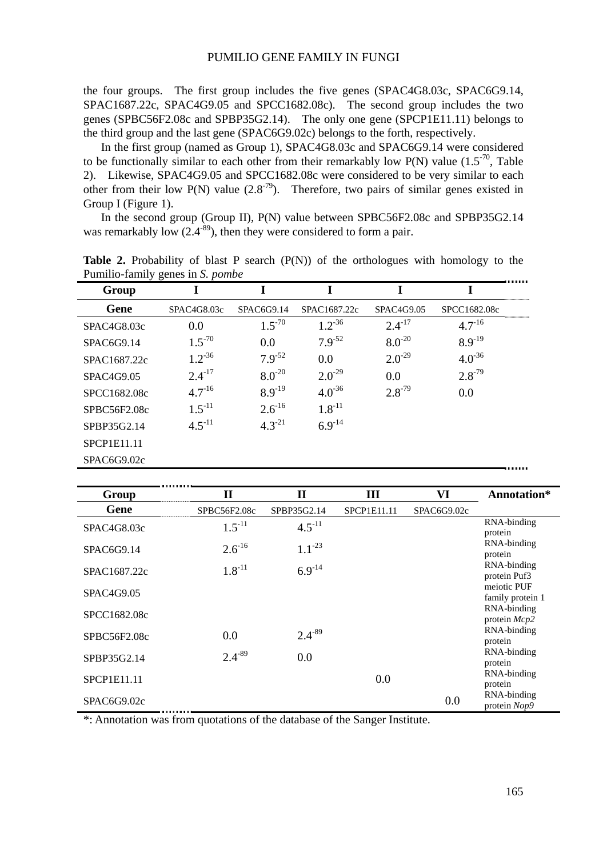#### PUMILIO GENE FAMILY IN FUNGI

the four groups. The first group includes the five genes (SPAC4G8.03c, SPAC6G9.14, SPAC1687.22c, SPAC4G9.05 and SPCC1682.08c). The second group includes the two genes (SPBC56F2.08c and SPBP35G2.14). The only one gene (SPCP1E11.11) belongs to the third group and the last gene (SPAC6G9.02c) belongs to the forth, respectively.

In the first group (named as Group 1), SPAC4G8.03c and SPAC6G9.14 were considered to be functionally similar to each other from their remarkably low P(N) value  $(1.5<sup>-70</sup>,$  Table 2). Likewise, SPAC4G9.05 and SPCC1682.08c were considered to be very similar to each other from their low P(N) value  $(2.8<sup>-79</sup>)$ . Therefore, two pairs of similar genes existed in Group I (Figure 1).

In the second group (Group II), P(N) value between SPBC56F2.08c and SPBP35G2.14 was remarkably low  $(2.4<sup>-89</sup>)$ , then they were considered to form a pair.

| Group                    |             |             |              |             |              |
|--------------------------|-------------|-------------|--------------|-------------|--------------|
| Gene                     | SPAC4G8.03c | SPAC6G9.14  | SPAC1687.22c | SPAC4G9.05  | SPCC1682.08c |
| SPAC <sub>4</sub> G8.03c | 0.0         | $1.5^{-70}$ | $1.2^{36}$   | $2.4^{-17}$ | $4.7^{16}$   |
| SPAC6G9.14               | $1.5^{-70}$ | 0.0         | $7.9^{-52}$  | $8.0^{-20}$ | $8.9^{-19}$  |
| SPAC1687.22c             | $1.2 - 36$  | $7.9^{-52}$ | 0.0          | $2.0^{-29}$ | $4.0^{36}$   |
| SPAC4G9.05               | $2.4^{-17}$ | $8.0^{-20}$ | $2.0^{-29}$  | 0.0         | $2.8 - 79$   |
| SPCC1682.08c             | $4.7^{16}$  | $8.9 - 19$  | $4.0^{-36}$  | $2.8 - 79$  | 0.0          |
| SPBC56F2.08c             | $1.5^{-11}$ | $2.6^{16}$  | $1.8^{-11}$  |             |              |
| SPBP35G2.14              | $4.5^{-11}$ | $4.3^{-21}$ | $6.9^{-14}$  |             |              |
| <b>SPCP1E11.11</b>       |             |             |              |             |              |
| SPAC6G9.02c              |             |             |              |             |              |

Table 2. Probability of blast P search (P(N)) of the orthologues with homology to the Pumilio-family genes in *S. pombe*

| Group        | $\mathbf H$  | Н           | Ш           | VI          | Annotation*                     |
|--------------|--------------|-------------|-------------|-------------|---------------------------------|
| Gene         | SPBC56F2.08c | SPBP35G2.14 | SPCP1E11.11 | SPAC6G9.02c |                                 |
| SPAC4G8.03c  | $1.5^{-11}$  | $4.5^{-11}$ |             |             | RNA-binding<br>protein          |
| SPAC6G9.14   | $2.6^{16}$   | $1.1^{-23}$ |             |             | RNA-binding<br>protein          |
| SPAC1687.22c | $1.8^{-11}$  | $6.9^{-14}$ |             |             | RNA-binding<br>protein Puf3     |
| SPAC4G9.05   |              |             |             |             | meiotic PUF<br>family protein 1 |
| SPCC1682.08c |              |             |             |             | RNA-binding<br>protein $Mcp2$   |
| SPBC56F2.08c | 0.0          | $2.4 - 89$  |             |             | RNA-binding<br>protein          |
| SPBP35G2.14  | $2.4 - 89$   | 0.0         |             |             | RNA-binding<br>protein          |
| SPCP1E11.11  |              |             | 0.0         |             | RNA-binding<br>protein          |
| SPAC6G9.02c  |              |             |             | 0.0         | RNA-binding<br>protein Nop9     |

\*: Annotation was from quotations of the database of the Sanger Institute.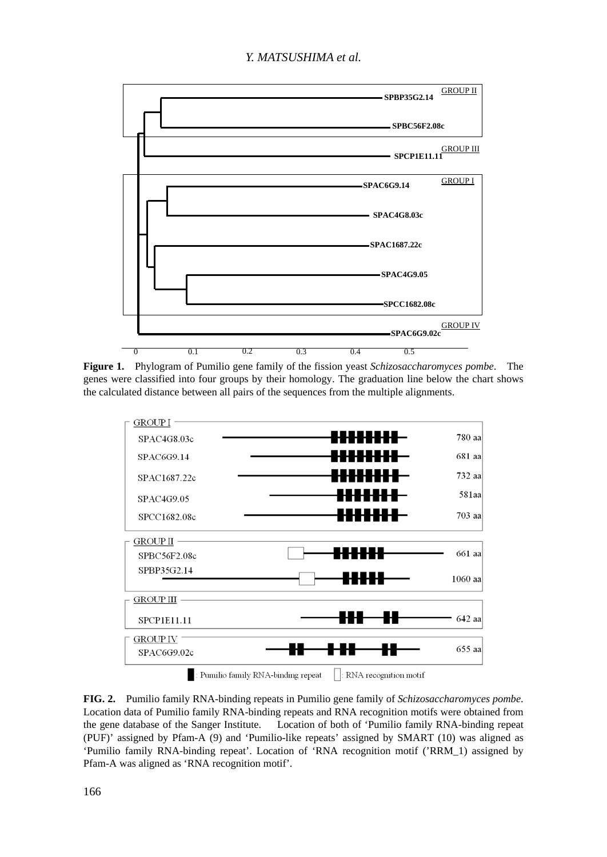

**Figure 1.** Phylogram of Pumilio gene family of the fission yeast *Schizosaccharomyces pombe*. The genes were classified into four groups by their homology. The graduation line below the chart shows the calculated distance between all pairs of the sequences from the multiple alignments.



**FIG. 2.** Pumilio family RNA-binding repeats in Pumilio gene family of *Schizosaccharomyces pombe*. Location data of Pumilio family RNA-binding repeats and RNA recognition motifs were obtained from the gene database of the Sanger Institute. Location of both of 'Pumilio family RNA-binding repeat (PUF)' assigned by Pfam-A (9) and 'Pumilio-like repeats' assigned by SMART (10) was aligned as 'Pumilio family RNA-binding repeat'. Location of 'RNA recognition motif ('RRM\_1) assigned by Pfam-A was aligned as 'RNA recognition motif'.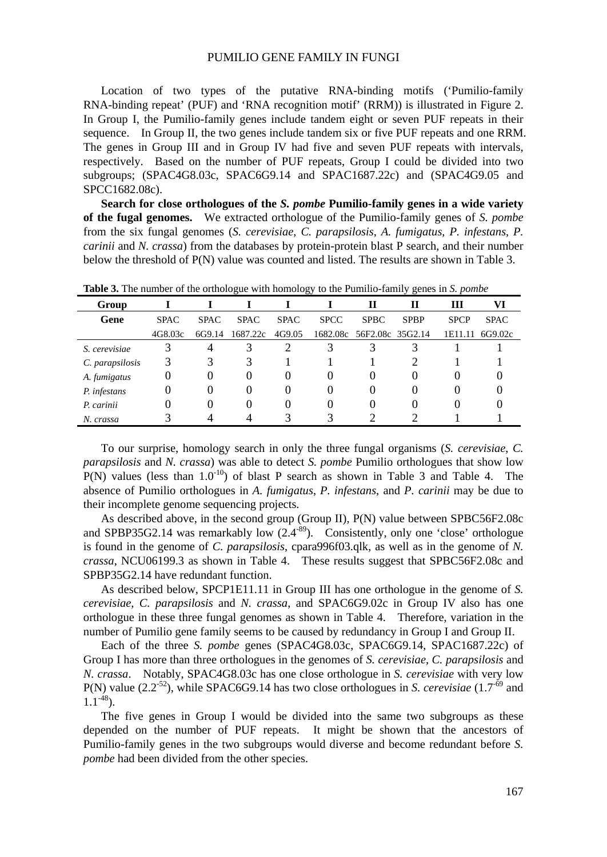#### PUMILIO GENE FAMILY IN FUNGI

Location of two types of the putative RNA-binding motifs ('Pumilio-family RNA-binding repeat' (PUF) and 'RNA recognition motif' (RRM)) is illustrated in Figure 2. In Group I, the Pumilio-family genes include tandem eight or seven PUF repeats in their sequence. In Group II, the two genes include tandem six or five PUF repeats and one RRM. The genes in Group III and in Group IV had five and seven PUF repeats with intervals, respectively. Based on the number of PUF repeats, Group I could be divided into two subgroups; (SPAC4G8.03c, SPAC6G9.14 and SPAC1687.22c) and (SPAC4G9.05 and SPCC1682.08c).

**Search for close orthologues of the** *S. pombe* **Pumilio-family genes in a wide variety of the fugal genomes.** We extracted orthologue of the Pumilio-family genes of *S. pombe* from the six fungal genomes (*S. cerevisiae*, *C. parapsilosis*, *A. fumigatus*, *P. infestans*, *P. carinii* and *N. crassa*) from the databases by protein-protein blast P search, and their number below the threshold of P(N) value was counted and listed. The results are shown in Table 3.

| Group           |             |             |             |             |             | П                         | П           | Ш           | VI          |
|-----------------|-------------|-------------|-------------|-------------|-------------|---------------------------|-------------|-------------|-------------|
| Gene            | <b>SPAC</b> | <b>SPAC</b> | <b>SPAC</b> | <b>SPAC</b> | <b>SPCC</b> | <b>SPBC</b>               | <b>SPBP</b> | <b>SPCP</b> | <b>SPAC</b> |
|                 | 4G8.03c     | 6G9.14      | 1687.22c    | 4G9.05      |             | 1682.08c 56F2.08c 35G2.14 |             | 1E11.11     | 6G9.02c     |
| S. cerevisiae   |             | 4           |             |             | 3           |                           |             |             |             |
| C. parapsilosis | 3           | 3           | 3           |             |             |                           |             |             |             |
| A. fumigatus    | 0           | 0           | $\theta$    | $\theta$    | O           | $\theta$                  | $\theta$    | 0           |             |
| P. infestans    | 0           | $\theta$    |             | $\theta$    | 0           | $\theta$                  | $\theta$    | O           |             |
| P. carinii      |             | 0           |             | $\theta$    | 0           | 0                         |             |             |             |
| N. crassa       |             |             |             |             |             |                           |             |             |             |

**Table 3.** The number of the orthologue with homology to the Pumilio-family genes in *S. pombe*

To our surprise, homology search in only the three fungal organisms (*S. cerevisiae*, *C. parapsilosis* and *N. crassa*) was able to detect *S. pombe* Pumilio orthologues that show low  $P(N)$  values (less than  $1.0^{-10}$ ) of blast P search as shown in Table 3 and Table 4. The absence of Pumilio orthologues in *A. fumigatus*, *P. infestans*, and *P. carinii* may be due to their incomplete genome sequencing projects.

As described above, in the second group (Group II), P(N) value between SPBC56F2.08c and SPBP35G2.14 was remarkably low  $(2.4^{-89})$ . Consistently, only one 'close' orthologue is found in the genome of *C. parapsilosis*, cpara996f03.qlk, as well as in the genome of *N. crassa*, NCU06199.3 as shown in Table 4. These results suggest that SPBC56F2.08c and SPBP35G2.14 have redundant function.

As described below, SPCP1E11.11 in Group III has one orthologue in the genome of *S. cerevisiae*, *C. parapsilosis* and *N. crassa*, and SPAC6G9.02c in Group IV also has one orthologue in these three fungal genomes as shown in Table 4. Therefore, variation in the number of Pumilio gene family seems to be caused by redundancy in Group I and Group II.

Each of the three *S. pombe* genes (SPAC4G8.03c, SPAC6G9.14, SPAC1687.22c) of Group I has more than three orthologues in the genomes of *S. cerevisiae*, *C. parapsilosis* and *N. crassa*. Notably, SPAC4G8.03c has one close orthologue in *S. cerevisiae* with very low P(N) value  $(2.2<sup>-52</sup>)$ , while SPAC6G9.14 has two close orthologues in *S. cerevisiae*  $(1.7<sup>-69</sup>)$  and  $1.1^{48}$ ).

The five genes in Group I would be divided into the same two subgroups as these depended on the number of PUF repeats. It might be shown that the ancestors of Pumilio-family genes in the two subgroups would diverse and become redundant before *S. pombe* had been divided from the other species.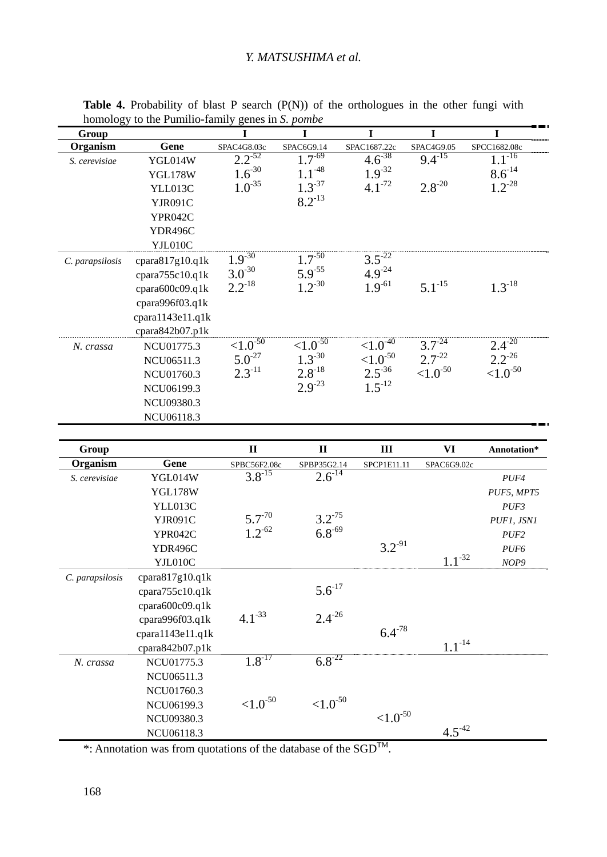## *Y. MATSUSHIMA et al.*

| Group           |                          | I              | I                     | I                     | I               | I                |
|-----------------|--------------------------|----------------|-----------------------|-----------------------|-----------------|------------------|
| Organism        | Gene                     | SPAC4G8.03c    | SPAC6G9.14            | SPAC1687.22c          | SPAC4G9.05      | SPCC1682.08c     |
| S. cerevisiae   | YGL014W                  | $2.2^{-52}$    | $1.7 - 69$            | $4.\overline{6}^{38}$ | $9.4^{-15}$     | $1.1^{-16}$      |
|                 | <b>YGL178W</b>           | $1.6^{30}$     | $1.1 - 48$            | $1.9 - 32$            |                 | $8.6^{-14}$      |
|                 | YLL013C                  | $1.0^{-35}$    | $1.3 - 37$            | $4.1^{-72}$           | $2.8 - 20$      | $1.2^{-28}$      |
|                 | YJR091C                  |                | $8.2 - 13$            |                       |                 |                  |
|                 | YPR042C                  |                |                       |                       |                 |                  |
|                 | YDR496C                  |                |                       |                       |                 |                  |
|                 | YJL010C                  |                |                       |                       |                 |                  |
| C. parapsilosis | cpara817g10.q1k          | $1.9 - 30$     | $1.7 - 50$            | $3.5^{22}$            |                 |                  |
|                 | cpara755c10.q1k          | $3.0^{-30}$    | $5.9^{-55}$           | $4.9^{24}$            |                 |                  |
|                 | cpara600c09.q1k          | $2.2^{-18}$    | $1.2 - 30$            | $1.9^{-61}$           | $5.1^{-15}$     | $1.3^{-18}$      |
|                 | cpara996f03.q1k          |                |                       |                       |                 |                  |
|                 | cpara1143e11.q1k         |                |                       |                       |                 |                  |
|                 | cpara842b07.p1k          |                |                       |                       |                 |                  |
| N. crassa       | NCU01775.3               | ${<}1.0^{-50}$ | ${<}1.0^{-50}$        | ${<}1.0^{40}$         | $3.7^{24}$      | $2.4^{20}$       |
|                 | NCU06511.3               | $5.0^{-27}$    | $1.3 - 30$            | ${<}1.0^{-50}$        | $2.7 - 22$      | $2.2^{26}$       |
|                 | NCU01760.3               | $2.3^{-11}$    | $2.8^{-18}$           | $2.5^{36}$            | ${<}1.0^{-50}$  | ${<}1.0^{-50}$   |
|                 | NCU06199.3               |                | $2.9^{-23}$           | $1.5^{-12}$           |                 |                  |
|                 | <b>NCU09380.3</b>        |                |                       |                       |                 |                  |
|                 | NCU06118.3               |                |                       |                       |                 |                  |
|                 |                          |                |                       |                       |                 |                  |
|                 |                          |                |                       |                       |                 |                  |
| Group           |                          | $\mathbf{I}$   | $\mathbf{I}$          | III                   | VI              | Annotation*      |
| Organism        | Gene                     | SPBC56F2.08c   | SPBP35G2.14           | SPCP1E11.11           | SPAC6G9.02c     |                  |
| S. cerevisiae   | YGL014W                  | $3.8^{-15}$    | $2.6^{14}$            |                       |                 | PUF4             |
|                 | <b>YGL178W</b>           |                |                       |                       |                 | PUF5, MPT5       |
|                 | YLL013C                  |                |                       |                       |                 | PUF3             |
|                 | YJR091C                  | $5.7 - 70$     | $3.2^{-75}$           |                       |                 | PUF1, JSN1       |
|                 | YPR042C                  | $1.2^{-62}$    | $6.8^{-69}$           |                       |                 | PUF <sub>2</sub> |
|                 | YDR496C                  |                |                       | $3.2 - 91$            |                 | PUF <sub>6</sub> |
|                 | YJL010C                  |                |                       |                       | $1.1 - {}^{32}$ | NOP9             |
| C. parapsilosis | cpara817g10.q1k          |                |                       |                       |                 |                  |
|                 | cpara755c10.q1k          |                | $5.6^{17}$            |                       |                 |                  |
|                 | cpara600c09.q1k          |                |                       |                       |                 |                  |
|                 | cpara996f03.q1k          | $4.1 - 33$     | $2.4 - 26$            |                       |                 |                  |
|                 | cpara1143e11.q1k         |                |                       | $6.4 - 78$            |                 |                  |
|                 | cpara842b07.plk          |                |                       |                       | $1.1^{-14}$     |                  |
| N. crassa       | NCU01775.3               | $1.8^{-17}$    | $6.8^{-22}$           |                       |                 |                  |
|                 | NCU06511.3               |                |                       |                       |                 |                  |
|                 | NCU01760.3               |                |                       |                       |                 |                  |
|                 | NCU06199.3               | ${<}1.0^{50}$  | ${<}1.0^{\text{-}50}$ |                       |                 |                  |
|                 | NCU09380.3<br>NCU06118.3 |                |                       | ${<}1.0^{50}$         | $4.5 -42$       |                  |

Table 4. Probability of blast P search (P(N)) of the orthologues in the other fungi with homology to the Pumilio-family genes in *S. pombe*

\*: Annotation was from quotations of the database of the  $SGD^{TM}$ .